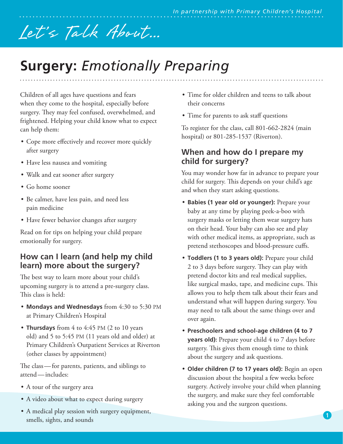# Let's Talk About...

## **Surgery:** *Emotionally Preparing*

Children of all ages have questions and fears when they come to the hospital, especially before surgery. They may feel confused, overwhelmed, and frightened. Helping your child know what to expect can help them:

- Cope more effectively and recover more quickly after surgery
- Have less nausea and vomiting
- Walk and eat sooner after surgery
- Go home sooner
- Be calmer, have less pain, and need less pain medicine
- Have fewer behavior changes after surgery

Read on for tips on helping your child prepare emotionally for surgery.

#### **How can I learn (and help my child learn) more about the surgery?**

The best way to learn more about your child's upcoming surgery is to attend a pre-surgery class. This class is held:

- **Mondays and Wednesdays** from 4:30 to 5:30 PM at Primary Children's Hospital
- **Thursdays** from 4 to 4:45 PM (2 to 10 years old) and 5 to 5:45 PM (11 years old and older) at Primary Children's Outpatient Services at Riverton (other classes by appointment)

The class—for parents, patients, and siblings to attend—includes:

- A tour of the surgery area
- A video about what to expect during surgery
- A medical play session with surgery equipment, smells, sights, and sounds
- Time for older children and teens to talk about their concerns
- Time for parents to ask staff questions

To register for the class, call 801-662-2824 (main hospital) or 801-285-1537 (Riverton).

#### **When and how do I prepare my child for surgery?**

You may wonder how far in advance to prepare your child for surgery. This depends on your child's age and when they start asking questions.

- **Babies (1 year old or younger):** Prepare your baby at any time by playing peek-a-boo with surgery masks or letting them wear surgery hats on their head. Your baby can also see and play with other medical items, as appropriate, such as pretend stethoscopes and blood-pressure cuffs.
- **Toddlers (1 to 3 years old):** Prepare your child 2 to 3 days before surgery. They can play with pretend doctor kits and real medical supplies, like surgical masks, tape, and medicine cups. This allows you to help them talk about their fears and understand what will happen during surgery. You may need to talk about the same things over and over again.
- **Preschoolers and school-age children (4 to 7 years old)**: Prepare your child 4 to 7 days before surgery. This gives them enough time to think about the surgery and ask questions.
- **Older children (7 to 17 years old):** Begin an open discussion about the hospital a few weeks before surgery. Actively involve your child when planning the surgery, and make sure they feel comfortable asking you and the surgeon questions.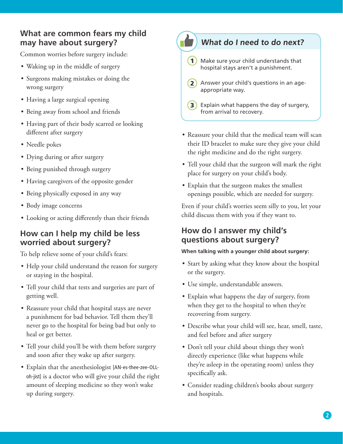#### **What are common fears my child may have about surgery?**

Common worries before surgery include:

- Waking up in the middle of surgery
- Surgeons making mistakes or doing the wrong surgery
- Having a large surgical opening
- Being away from school and friends
- Having part of their body scarred or looking different after surgery
- Needle pokes
- Dying during or after surgery
- Being punished through surgery
- Having caregivers of the opposite gender
- Being physically exposed in any way
- Body image concerns
- Looking or acting differently than their friends

#### **How can I help my child be less worried about surgery?**

To help relieve some of your child's fears:

- Help your child understand the reason for surgery or staying in the hospital.
- Tell your child that tests and surgeries are part of getting well.
- Reassure your child that hospital stays are never a punishment for bad behavior. Tell them they'll never go to the hospital for being bad but only to heal or get better.
- Tell your child you'll be with them before surgery and soon after they wake up after surgery.
- Explain that the anesthesiologist [AN-es-thee-zee-OLLoh-jist] is a doctor who will give your child the right amount of sleeping medicine so they won't wake up during surgery.

### **What do I need to do next?**

- **1**) Make sure your child understands that hospital stays aren't a punishment.
- **2** Answer your child's questions in an ageappropriate way.
- **3**) Explain what happens the day of surgery, from arrival to recovery.
- Reassure your child that the medical team will scan their ID bracelet to make sure they give your child the right medicine and do the right surgery.
- Tell your child that the surgeon will mark the right place for surgery on your child's body.
- Explain that the surgeon makes the smallest openings possible, which are needed for surgery.

Even if your child's worries seem silly to you, let your child discuss them with you if they want to.

#### **How do I answer my child's questions about surgery?**

#### **When talking with a younger child about surgery:**

- Start by asking what they know about the hospital or the surgery.
- Use simple, understandable answers.
- Explain what happens the day of surgery, from when they get to the hospital to when they're recovering from surgery.
- Describe what your child will see, hear, smell, taste, and feel before and after surgery
- Don't tell your child about things they won't directly experience (like what happens while they're asleep in the operating room) unless they specifically ask.
- Consider reading children's books about surgery and hospitals.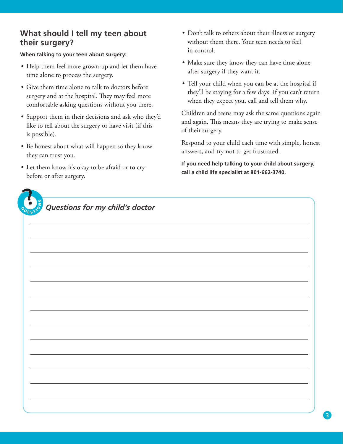#### **What should I tell my teen about their surgery?**

**When talking to your teen about surgery:**

- Help them feel more grown-up and let them have time alone to process the surgery.
- Give them time alone to talk to doctors before surgery and at the hospital. They may feel more comfortable asking questions without you there.
- Support them in their decisions and ask who they'd like to tell about the surgery or have visit (if this is possible).
- Be honest about what will happen so they know they can trust you.
- Let them know it's okay to be afraid or to cry before or after surgery.
- Nو<br>ح

**Questions for my child's doctor** 

- Don't talk to others about their illness or surgery without them there. Your teen needs to feel in control.
- Make sure they know they can have time alone after surgery if they want it.
- Tell your child when you can be at the hospital if they'll be staying for a few days. If you can't return when they expect you, call and tell them why.

Children and teens may ask the same questions again and again. This means they are trying to make sense of their surgery.

Respond to your child each time with simple, honest answers, and try not to get frustrated.

**If you need help talking to your child about surgery, call a child life specialist at 801-662-3740.**